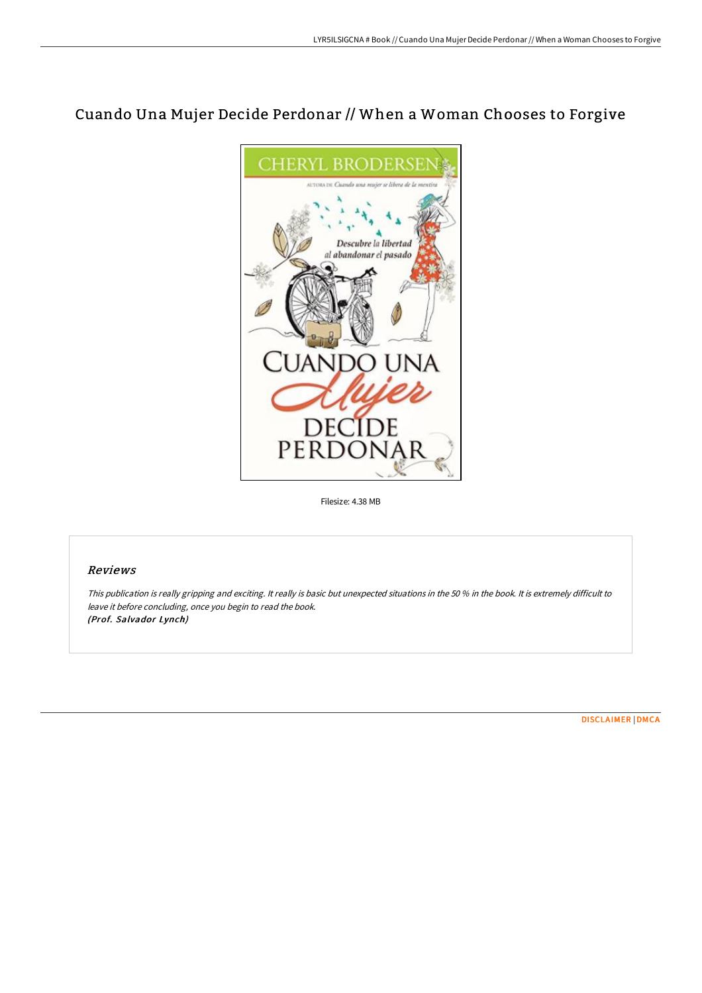## Cuando Una Mujer Decide Perdonar // When a Woman Chooses to Forgive



Filesize: 4.38 MB

## Reviews

This publication is really gripping and exciting. It really is basic but unexpected situations in the <sup>50</sup> % in the book. It is extremely difficult to leave it before concluding, once you begin to read the book. (Prof. Salvador Lynch)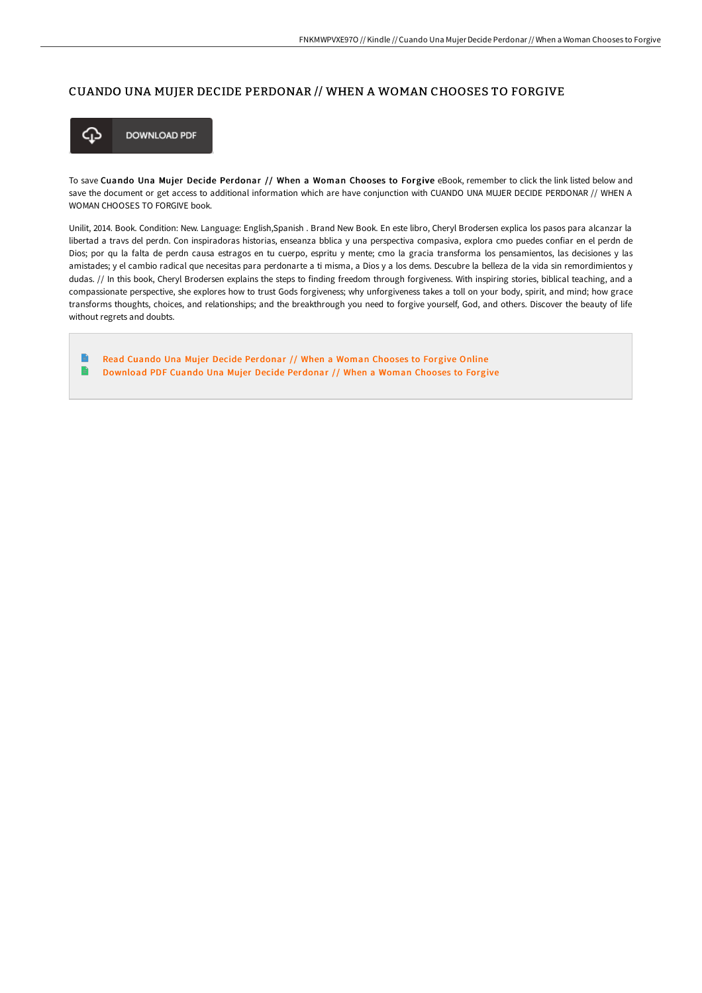## CUANDO UNA MUJER DECIDE PERDONAR // WHEN A WOMAN CHOOSES TO FORGIVE



To save Cuando Una Mujer Decide Perdonar // When a Woman Chooses to Forgive eBook, remember to click the link listed below and save the document or get access to additional information which are have conjunction with CUANDO UNA MUJER DECIDE PERDONAR // WHEN A WOMAN CHOOSES TO FORGIVE book.

Unilit, 2014. Book. Condition: New. Language: English,Spanish . Brand New Book. En este libro, Cheryl Brodersen explica los pasos para alcanzar la libertad a travs del perdn. Con inspiradoras historias, enseanza bblica y una perspectiva compasiva, explora cmo puedes confiar en el perdn de Dios; por qu la falta de perdn causa estragos en tu cuerpo, espritu y mente; cmo la gracia transforma los pensamientos, las decisiones y las amistades; y el cambio radical que necesitas para perdonarte a ti misma, a Dios y a los dems. Descubre la belleza de la vida sin remordimientos y dudas. // In this book, Cheryl Brodersen explains the steps to finding freedom through forgiveness. With inspiring stories, biblical teaching, and a compassionate perspective, she explores how to trust Gods forgiveness; why unforgiveness takes a toll on your body, spirit, and mind; how grace transforms thoughts, choices, and relationships; and the breakthrough you need to forgive yourself, God, and others. Discover the beauty of life without regrets and doubts.

E Read Cuando Una Mujer Decide [Perdonar](http://digilib.live/cuando-una-mujer-decide-perdonar-x2f-x2f-when-a-.html) // When a Woman Chooses to Forgive Online B [Download](http://digilib.live/cuando-una-mujer-decide-perdonar-x2f-x2f-when-a-.html) PDF Cuando Una Mujer Decide Perdonar // When a Woman Chooses to Forgive